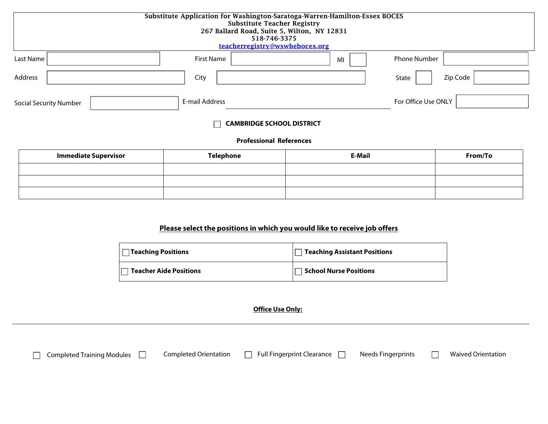| Substitute Application for Washington-Saratoga-Warren-Hamilton-Essex BOCES<br><b>Substitute Teacher Registry</b><br>267 Ballard Road, Suite 5, Wilton, NY 12831<br>518-746-3375<br>teacherregistry@wswheboces.org |                   |    |                     |  |  |  |  |
|-------------------------------------------------------------------------------------------------------------------------------------------------------------------------------------------------------------------|-------------------|----|---------------------|--|--|--|--|
| Last Name                                                                                                                                                                                                         | <b>First Name</b> | MI | <b>Phone Number</b> |  |  |  |  |
| Address                                                                                                                                                                                                           | City              |    | Zip Code<br>State   |  |  |  |  |
| <b>Social Security Number</b>                                                                                                                                                                                     | E-mail Address    |    | For Office Use ONLY |  |  |  |  |
| <b>CAMBRIDGE SCHOOL DISTRICT</b>                                                                                                                                                                                  |                   |    |                     |  |  |  |  |
| <b>Professional References</b>                                                                                                                                                                                    |                   |    |                     |  |  |  |  |

# **Immediate Supervisor Telephone E-Mail From/To**

# **Please select the positions in which you would like to receive job offers**

| Teaching Positions            | Teaching Assistant Positions  |
|-------------------------------|-------------------------------|
| <b>Teacher Aide Positions</b> | <b>School Nurse Positions</b> |

**Office Use Only:**